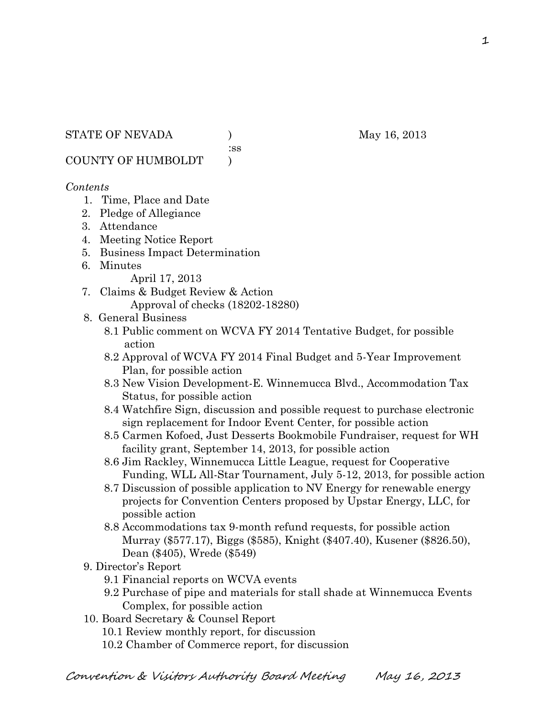:ss

COUNTY OF HUMBOLDT )

#### *Contents*

- 1. Time, Place and Date
- 2. Pledge of Allegiance
- 3. Attendance
- 4. Meeting Notice Report
- 5. Business Impact Determination
- 6. Minutes

April 17, 2013

7. Claims & Budget Review & Action Approval of checks (18202-18280)

### 8. General Business

- 8.1 Public comment on WCVA FY 2014 Tentative Budget, for possible action
- 8.2 Approval of WCVA FY 2014 Final Budget and 5-Year Improvement Plan, for possible action
- 8.3 New Vision Development-E. Winnemucca Blvd., Accommodation Tax Status, for possible action
- 8.4 Watchfire Sign, discussion and possible request to purchase electronic sign replacement for Indoor Event Center, for possible action
- 8.5 Carmen Kofoed, Just Desserts Bookmobile Fundraiser, request for WH facility grant, September 14, 2013, for possible action
- 8.6 Jim Rackley, Winnemucca Little League, request for Cooperative Funding, WLL All-Star Tournament, July 5-12, 2013, for possible action
- 8.7 Discussion of possible application to NV Energy for renewable energy projects for Convention Centers proposed by Upstar Energy, LLC, for possible action
- 8.8 Accommodations tax 9-month refund requests, for possible action Murray (\$577.17), Biggs (\$585), Knight (\$407.40), Kusener (\$826.50), Dean (\$405), Wrede (\$549)
- 9. Director's Report
	- 9.1 Financial reports on WCVA events
	- 9.2 Purchase of pipe and materials for stall shade at Winnemucca Events Complex, for possible action
- 10. Board Secretary & Counsel Report
	- 10.1 Review monthly report, for discussion
	- 10.2 Chamber of Commerce report, for discussion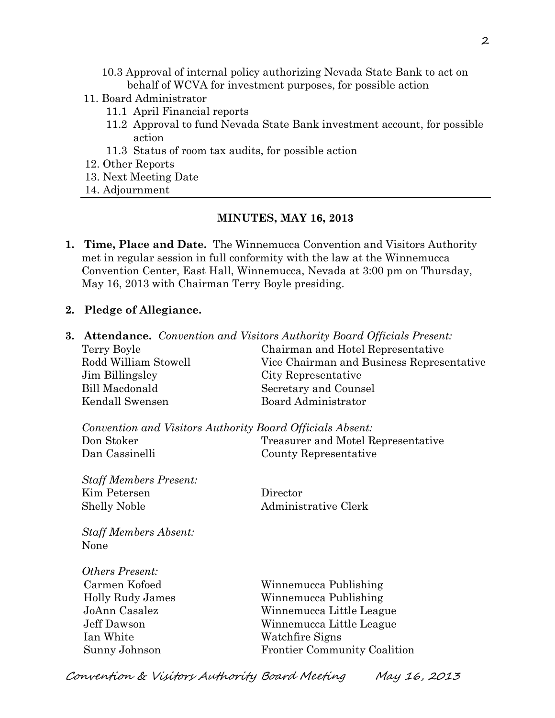- 10.3 Approval of internal policy authorizing Nevada State Bank to act on behalf of WCVA for investment purposes, for possible action
- 11. Board Administrator
	- 11.1 April Financial reports
	- 11.2 Approval to fund Nevada State Bank investment account, for possible action
	- 11.3 Status of room tax audits, for possible action
- 12. Other Reports
- 13. Next Meeting Date
- 14. Adjournment

#### **MINUTES, MAY 16, 2013**

- **1. Time, Place and Date.** The Winnemucca Convention and Visitors Authority met in regular session in full conformity with the law at the Winnemucca Convention Center, East Hall, Winnemucca, Nevada at 3:00 pm on Thursday, May 16, 2013 with Chairman Terry Boyle presiding.
- **2. Pledge of Allegiance.**

| 3. |                                                           | <b>Attendance.</b> Convention and Visitors Authority Board Officials Present: |  |
|----|-----------------------------------------------------------|-------------------------------------------------------------------------------|--|
|    | Terry Boyle                                               | Chairman and Hotel Representative                                             |  |
|    | Rodd William Stowell                                      | Vice Chairman and Business Representative                                     |  |
|    | Jim Billingsley                                           | City Representative                                                           |  |
|    | <b>Bill Macdonald</b>                                     | Secretary and Counsel                                                         |  |
|    | Kendall Swensen                                           | <b>Board Administrator</b>                                                    |  |
|    | Convention and Visitors Authority Board Officials Absent: |                                                                               |  |
|    | Don Stoker                                                | Treasurer and Motel Representative                                            |  |
|    | Dan Cassinelli                                            | County Representative                                                         |  |
|    | <b>Staff Members Present:</b>                             |                                                                               |  |
|    | Kim Petersen                                              | Director                                                                      |  |
|    | <b>Shelly Noble</b>                                       | Administrative Clerk                                                          |  |
|    | <b>Staff Members Absent:</b>                              |                                                                               |  |
|    | None                                                      |                                                                               |  |
|    | <b>Others Present:</b>                                    |                                                                               |  |
|    | Carmen Kofoed                                             | Winnemucca Publishing                                                         |  |
|    | Holly Rudy James                                          | Winnemucca Publishing                                                         |  |
|    | JoAnn Casalez                                             | Winnemucca Little League                                                      |  |
|    | Jeff Dawson                                               | Winnemucca Little League                                                      |  |
|    | Ian White                                                 | Watchfire Signs                                                               |  |
|    | Sunny Johnson                                             | <b>Frontier Community Coalition</b>                                           |  |
|    | Convention & Visitors Authority Board Meeting             | May 16, 2013                                                                  |  |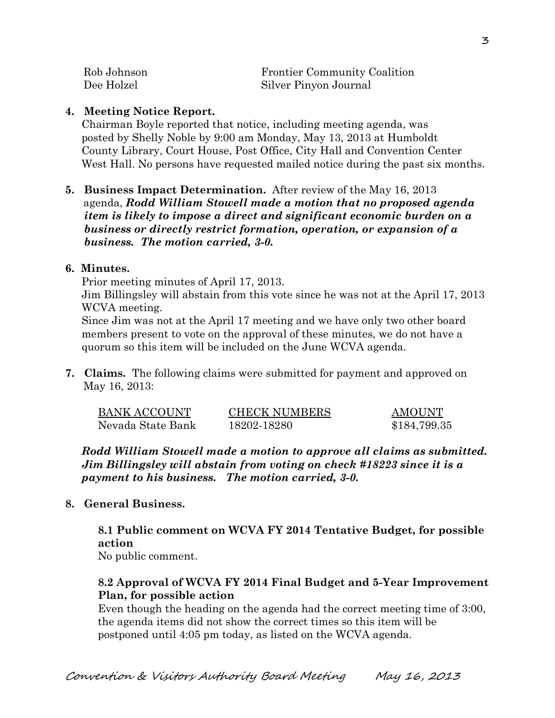| Rob Johnson | <b>Frontier Community Coalition</b> |
|-------------|-------------------------------------|
| Dee Holzel  | Silver Pinyon Journal               |

#### **4. Meeting Notice Report.**

Chairman Boyle reported that notice, including meeting agenda, was posted by Shelly Noble by 9:00 am Monday, May 13, 2013 at Humboldt County Library, Court House, Post Office, City Hall and Convention Center West Hall. No persons have requested mailed notice during the past six months.

**5. Business Impact Determination.** After review of the May 16, 2013 agenda, *Rodd William Stowell made a motion that no proposed agenda item is likely to impose a direct and significant economic burden on a business or directly restrict formation, operation, or expansion of a business. The motion carried, 3-0.* 

#### **6. Minutes.**

Prior meeting minutes of April 17, 2013.

Jim Billingsley will abstain from this vote since he was not at the April 17, 2013 WCVA meeting.

Since Jim was not at the April 17 meeting and we have only two other board members present to vote on the approval of these minutes, we do not have a quorum so this item will be included on the June WCVA agenda.

**7. Claims.** The following claims were submitted for payment and approved on May 16, 2013:

| <b>BANK ACCOUNT</b> | <b>CHECK NUMBERS</b> | AMOUNT       |
|---------------------|----------------------|--------------|
| Nevada State Bank   | 18202-18280          | \$184,799.35 |

*Rodd William Stowell made a motion to approve all claims as submitted. Jim Billingsley will abstain from voting on check #18223 since it is a payment to his business. The motion carried, 3-0.* 

### **8. General Business.**

# **8.1 Public comment on WCVA FY 2014 Tentative Budget, for possible action**

No public comment.

# **8.2 Approval of WCVA FY 2014 Final Budget and 5-Year Improvement Plan, for possible action**

Even though the heading on the agenda had the correct meeting time of 3:00, the agenda items did not show the correct times so this item will be postponed until 4:05 pm today, as listed on the WCVA agenda.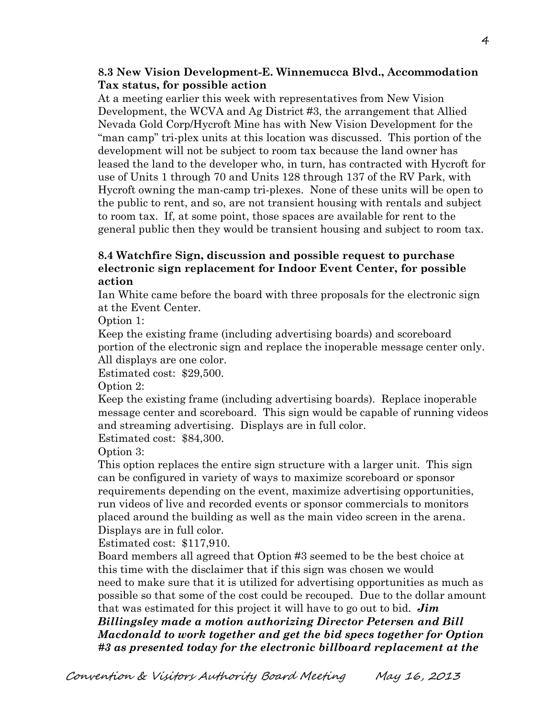## **8.3 New Vision Development-E. Winnemucca Blvd., Accommodation Tax status, for possible action**

At a meeting earlier this week with representatives from New Vision Development, the WCVA and Ag District #3, the arrangement that Allied Nevada Gold Corp/Hycroft Mine has with New Vision Development for the "man camp" tri-plex units at this location was discussed. This portion of the development will not be subject to room tax because the land owner has leased the land to the developer who, in turn, has contracted with Hycroft for use of Units 1 through 70 and Units 128 through 137 of the RV Park, with Hycroft owning the man-camp tri-plexes. None of these units will be open to the public to rent, and so, are not transient housing with rentals and subject to room tax. If, at some point, those spaces are available for rent to the general public then they would be transient housing and subject to room tax.

# **8.4 Watchfire Sign, discussion and possible request to purchase electronic sign replacement for Indoor Event Center, for possible action**

Ian White came before the board with three proposals for the electronic sign at the Event Center.

Option 1:

Keep the existing frame (including advertising boards) and scoreboard portion of the electronic sign and replace the inoperable message center only. All displays are one color.

Estimated cost: \$29,500.

Option 2:

Keep the existing frame (including advertising boards). Replace inoperable message center and scoreboard. This sign would be capable of running videos and streaming advertising. Displays are in full color.

Estimated cost: \$84,300.

Option 3:

This option replaces the entire sign structure with a larger unit. This sign can be configured in variety of ways to maximize scoreboard or sponsor requirements depending on the event, maximize advertising opportunities, run videos of live and recorded events or sponsor commercials to monitors placed around the building as well as the main video screen in the arena. Displays are in full color.

Estimated cost: \$117,910.

Board members all agreed that Option #3 seemed to be the best choice at this time with the disclaimer that if this sign was chosen we would need to make sure that it is utilized for advertising opportunities as much as possible so that some of the cost could be recouped. Due to the dollar amount that was estimated for this project it will have to go out to bid. *Jim* 

*Billingsley made a motion authorizing Director Petersen and Bill Macdonald to work together and get the bid specs together for Option #3 as presented today for the electronic billboard replacement at the*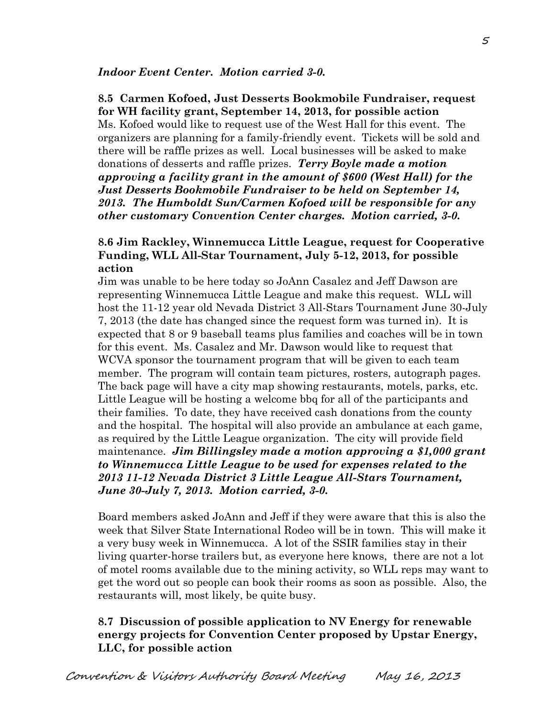#### **8.5 Carmen Kofoed, Just Desserts Bookmobile Fundraiser, request for WH facility grant, September 14, 2013, for possible action**

Ms. Kofoed would like to request use of the West Hall for this event. The organizers are planning for a family-friendly event. Tickets will be sold and there will be raffle prizes as well. Local businesses will be asked to make donations of desserts and raffle prizes. *Terry Boyle made a motion approving a facility grant in the amount of \$600 (West Hall) for the Just Desserts Bookmobile Fundraiser to be held on September 14, 2013. The Humboldt Sun/Carmen Kofoed will be responsible for any other customary Convention Center charges. Motion carried, 3-0.* 

#### **8.6 Jim Rackley, Winnemucca Little League, request for Cooperative Funding, WLL All-Star Tournament, July 5-12, 2013, for possible action**

Jim was unable to be here today so JoAnn Casalez and Jeff Dawson are representing Winnemucca Little League and make this request. WLL will host the 11-12 year old Nevada District 3 All-Stars Tournament June 30-July 7, 2013 (the date has changed since the request form was turned in). It is expected that 8 or 9 baseball teams plus families and coaches will be in town for this event. Ms. Casalez and Mr. Dawson would like to request that WCVA sponsor the tournament program that will be given to each team member. The program will contain team pictures, rosters, autograph pages. The back page will have a city map showing restaurants, motels, parks, etc. Little League will be hosting a welcome bbq for all of the participants and their families. To date, they have received cash donations from the county and the hospital. The hospital will also provide an ambulance at each game, as required by the Little League organization. The city will provide field maintenance. *Jim Billingsley made a motion approving a \$1,000 grant to Winnemucca Little League to be used for expenses related to the 2013 11-12 Nevada District 3 Little League All-Stars Tournament, June 30-July 7, 2013. Motion carried, 3-0.*

Board members asked JoAnn and Jeff if they were aware that this is also the week that Silver State International Rodeo will be in town. This will make it a very busy week in Winnemucca. A lot of the SSIR families stay in their living quarter-horse trailers but, as everyone here knows, there are not a lot of motel rooms available due to the mining activity, so WLL reps may want to get the word out so people can book their rooms as soon as possible. Also, the restaurants will, most likely, be quite busy.

### **8.7 Discussion of possible application to NV Energy for renewable energy projects for Convention Center proposed by Upstar Energy, LLC, for possible action**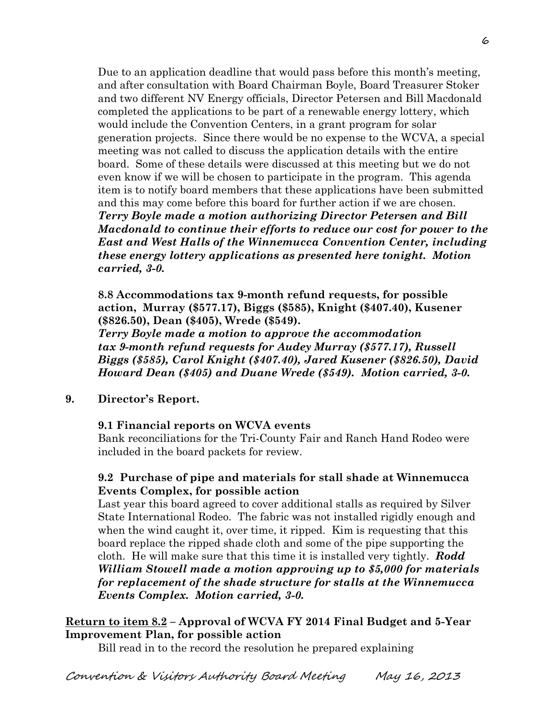Due to an application deadline that would pass before this month's meeting, and after consultation with Board Chairman Boyle, Board Treasurer Stoker and two different NV Energy officials, Director Petersen and Bill Macdonald completed the applications to be part of a renewable energy lottery, which would include the Convention Centers, in a grant program for solar generation projects. Since there would be no expense to the WCVA, a special meeting was not called to discuss the application details with the entire board. Some of these details were discussed at this meeting but we do not even know if we will be chosen to participate in the program. This agenda item is to notify board members that these applications have been submitted and this may come before this board for further action if we are chosen. *Terry Boyle made a motion authorizing Director Petersen and Bill Macdonald to continue their efforts to reduce our cost for power to the East and West Halls of the Winnemucca Convention Center, including these energy lottery applications as presented here tonight. Motion carried, 3-0.* 

**8.8 Accommodations tax 9-month refund requests, for possible action, Murray (\$577.17), Biggs (\$585), Knight (\$407.40), Kusener (\$826.50), Dean (\$405), Wrede (\$549).**

*Terry Boyle made a motion to approve the accommodation tax 9-month refund requests for Audey Murray (\$577.17), Russell Biggs (\$585), Carol Knight (\$407.40), Jared Kusener (\$826.50), David Howard Dean (\$405) and Duane Wrede (\$549). Motion carried, 3-0.* 

**9. Director's Report.**

### **9.1 Financial reports on WCVA events**

Bank reconciliations for the Tri-County Fair and Ranch Hand Rodeo were included in the board packets for review.

### **9.2 Purchase of pipe and materials for stall shade at Winnemucca Events Complex, for possible action**

Last year this board agreed to cover additional stalls as required by Silver State International Rodeo. The fabric was not installed rigidly enough and when the wind caught it, over time, it ripped. Kim is requesting that this board replace the ripped shade cloth and some of the pipe supporting the cloth. He will make sure that this time it is installed very tightly. *Rodd William Stowell made a motion approving up to \$5,000 for materials for replacement of the shade structure for stalls at the Winnemucca Events Complex. Motion carried, 3-0.* 

### **Return to item 8.2 – Approval of WCVA FY 2014 Final Budget and 5-Year Improvement Plan, for possible action**

Bill read in to the record the resolution he prepared explaining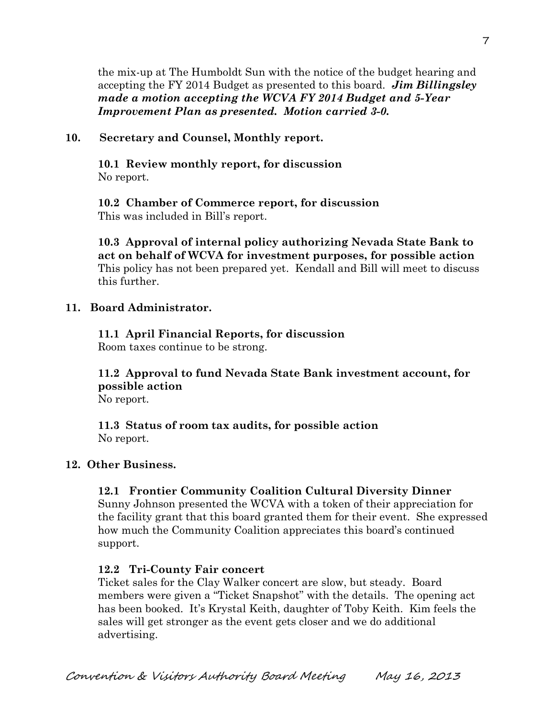the mix-up at The Humboldt Sun with the notice of the budget hearing and accepting the FY 2014 Budget as presented to this board. *Jim Billingsley made a motion accepting the WCVA FY 2014 Budget and 5-Year Improvement Plan as presented. Motion carried 3-0.* 

### **10. Secretary and Counsel, Monthly report.**

**10.1 Review monthly report, for discussion** No report.

**10.2 Chamber of Commerce report, for discussion** This was included in Bill's report.

**10.3 Approval of internal policy authorizing Nevada State Bank to act on behalf of WCVA for investment purposes, for possible action** This policy has not been prepared yet. Kendall and Bill will meet to discuss this further.

#### **11. Board Administrator.**

# **11.1 April Financial Reports, for discussion**

Room taxes continue to be strong.

**11.2 Approval to fund Nevada State Bank investment account, for possible action** No report.

**11.3 Status of room tax audits, for possible action** No report.

### **12. Other Business.**

### **12.1 Frontier Community Coalition Cultural Diversity Dinner**

Sunny Johnson presented the WCVA with a token of their appreciation for the facility grant that this board granted them for their event. She expressed how much the Community Coalition appreciates this board's continued support.

#### **12.2 Tri-County Fair concert**

Ticket sales for the Clay Walker concert are slow, but steady. Board members were given a "Ticket Snapshot" with the details. The opening act has been booked. It's Krystal Keith, daughter of Toby Keith. Kim feels the sales will get stronger as the event gets closer and we do additional advertising.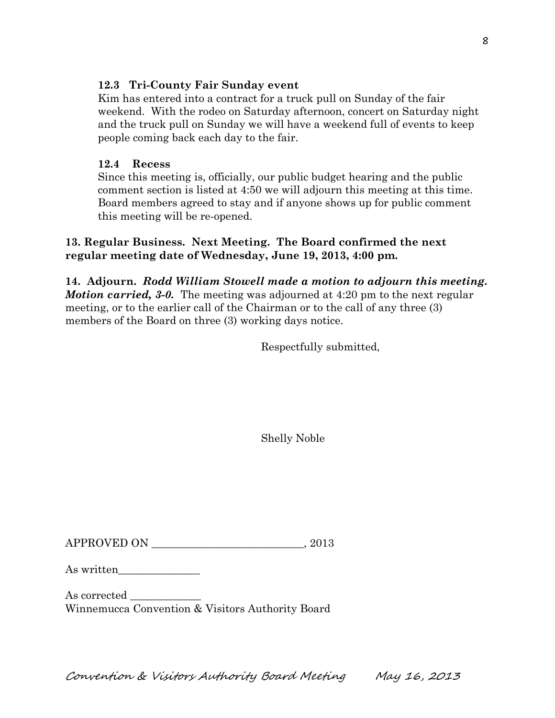## **12.3 Tri-County Fair Sunday event**

Kim has entered into a contract for a truck pull on Sunday of the fair weekend. With the rodeo on Saturday afternoon, concert on Saturday night and the truck pull on Sunday we will have a weekend full of events to keep people coming back each day to the fair.

# **12.4 Recess**

Since this meeting is, officially, our public budget hearing and the public comment section is listed at 4:50 we will adjourn this meeting at this time. Board members agreed to stay and if anyone shows up for public comment this meeting will be re-opened.

# **13. Regular Business. Next Meeting. The Board confirmed the next regular meeting date of Wednesday, June 19, 2013, 4:00 pm.**

**14. Adjourn.** *Rodd William Stowell made a motion to adjourn this meeting. Motion carried,* 3-0. The meeting was adjourned at 4:20 pm to the next regular meeting, or to the earlier call of the Chairman or to the call of any three (3) members of the Board on three (3) working days notice.

Respectfully submitted,

Shelly Noble

 $APPROVED ON \t 2013$ 

As written\_\_\_\_\_\_\_\_\_\_\_\_\_\_\_

As corrected Winnemucca Convention & Visitors Authority Board